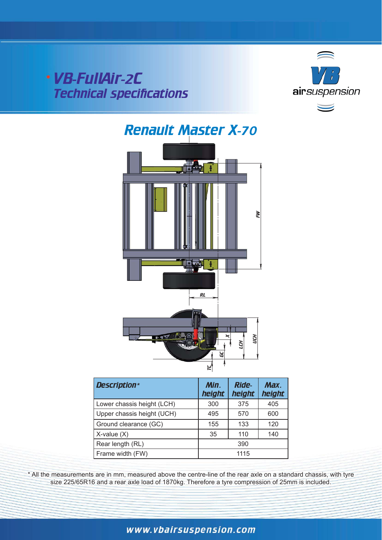VB-FullAir-2C **Technical specifications** 





| <b>Description*</b>        | Min.<br>height | <b>Ride-</b><br>height | Max.<br>height |
|----------------------------|----------------|------------------------|----------------|
| Lower chassis height (LCH) | 300            | 375                    | 405            |
| Upper chassis height (UCH) | 495            | 570                    | 600            |
| Ground clearance (GC)      | 155            | 133                    | 120            |
| $X$ -value $(X)$           | 35             | 110                    | 140            |
| Rear length (RL)           |                | 390                    |                |
| Frame width (FW)           |                | 1115                   |                |

\* All the measurements are in mm, measured above the centre-line of the rear axle on a standard chassis, with tyre size 225/65R16 and a rear axle load of 1870kg. Therefore a tyre compression of 25mm is included.

## www.vbairsuspension.com